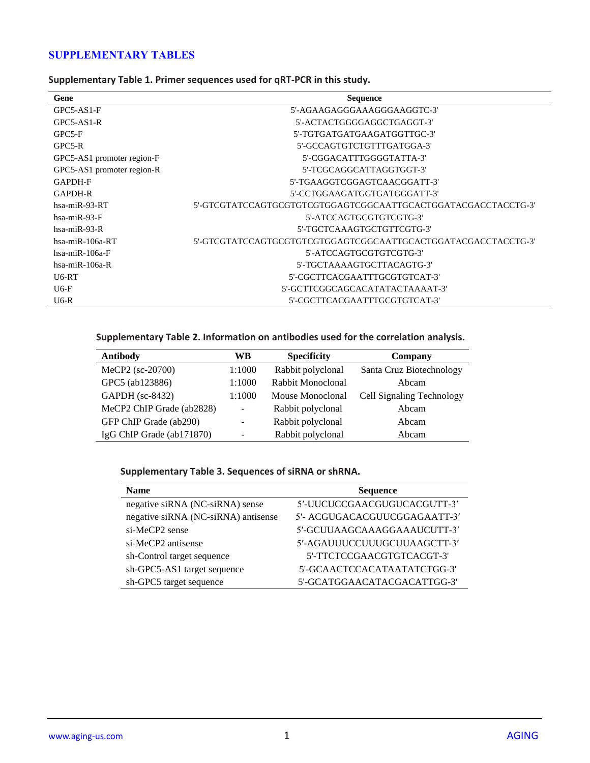## **SUPPLEMENTARY TABLES**

| Gene                       | <b>Sequence</b>                 |
|----------------------------|---------------------------------|
| GPC5-AS1-F                 | 5'-AGAAGAGGGAAAGGGAAGGTC-3'     |
| $GPC5-AS1-R$               | 5'-ACTACTGGGGAGGCTGAGGT-3'      |
| $GPC5-F$                   | 5'-TGTGATGATGAAGATGGTTGC-3'     |
| $GPC5-R$                   | 5'-GCCAGTGTCTGTTTGATGGA-3'      |
| GPC5-AS1 promoter region-F | 5'-CGGACATTTGGGGTATTA-3'        |
| GPC5-AS1 promoter region-R | 5'-TCGCAGGCATTAGGTGGT-3'        |
| <b>GAPDH-F</b>             | 5'-TGAAGGTCGGAGTCAACGGATT-3'    |
| <b>GAPDH-R</b>             | 5'-CCTGGAAGATGGTGATGGGATT-3'    |
| $hsa-miR-93-RT$            |                                 |
| $hsa-miR-93-F$             | 5'-ATCCAGTGCGTGTCGTG-3'         |
| $hsa-miR-93-R$             | 5'-TGCTCAAAGTGCTGTTCGTG-3'      |
| $hsa-miR-106a-RT$          |                                 |
| $hsa-miR-106a-F$           | 5'-ATCCAGTGCGTGTCGTG-3'         |
| $hsa-miR-106a-R$           | 5'-TGCTAAAAGTGCTTACAGTG-3'      |
| U6-RT                      | 5'-CGCTTCACGAATTTGCGTGTCAT-3'   |
| $U6-F$                     | 5'-GCTTCGGCAGCACATATACTAAAAT-3' |
| $U6-R$                     | 5'-CGCTTCACGAATTTGCGTGTCAT-3'   |

**Supplementary Table 1. Primer sequences used for qRT-PCR in this study.**

## **Supplementary Table 2. Information on antibodies used for the correlation analysis.**

| Antibody                  | WВ             | <b>Specificity</b> | Company                   |
|---------------------------|----------------|--------------------|---------------------------|
| MeCP2 (sc-20700)          | 1:1000         | Rabbit polyclonal  | Santa Cruz Biotechnology  |
| GPC5 (ab123886)           | 1:1000         | Rabbit Monoclonal  | Abcam                     |
| <b>GAPDH</b> (sc-8432)    | 1:1000         | Mouse Monoclonal   | Cell Signaling Technology |
| MeCP2 ChIP Grade (ab2828) | $\overline{a}$ | Rabbit polyclonal  | Abcam                     |
| GFP ChIP Grade (ab290)    | ۰              | Rabbit polyclonal  | Abcam                     |
| IgG ChIP Grade (ab171870) |                | Rabbit polyclonal  | Abcam                     |

## **Supplementary Table 3. Sequences of siRNA or shRNA.**

| <b>Name</b>                         | <b>Sequence</b>              |
|-------------------------------------|------------------------------|
| negative siRNA (NC-siRNA) sense     | 5'-UUCUCCGAACGUGUCACGUTT-3'  |
| negative siRNA (NC-siRNA) antisense | 5'- ACGUGACACGUUCGGAGAATT-3' |
| si-MeCP2 sense                      | 5'-GCUUAAGCAAAGGAAAUCUTT-3'  |
| si-MeCP2 antisense                  | 5'-AGAUUUCCUUUGCUUAAGCTT-3'  |
| sh-Control target sequence          | 5'-TTCTCCGAACGTGTCACGT-3'    |
| sh-GPC5-AS1 target sequence         | 5'-GCAACTCCACATAATATCTGG-3'  |
| sh-GPC5 target sequence             | 5'-GCATGGAACATACGACATTGG-3'  |